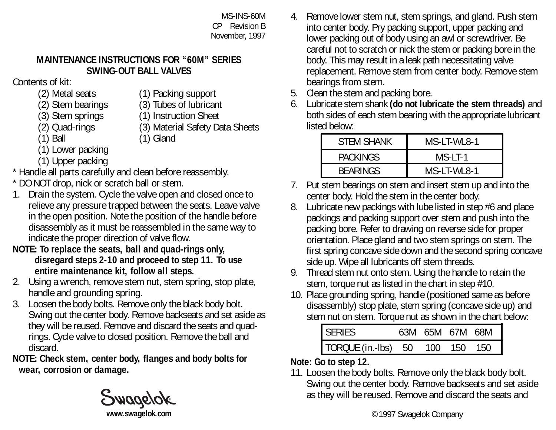MS-INS-60M CP Revision B November, 1997

## **MAINTENANCE INSTRUCTIONS FOR "60M" SERIES SWING-OUT BALL VALVES**

Contents of kit:

- 
- (2) Metal seats (1) Packing support
- (2) Stem bearings (3) Tubes of lubricant
- (3) Stem springs (1) Instruction Sheet<br>
(2) Quad-rings (3) Material Safety Da
- 
- 
- (3) Material Safety Data Sheets
- 
- (1) Ball (1) Gland
- (1) Lower packing
- (1) Upper packing
- \* Handle all parts carefully and clean before reassembly.
- \* DO NOT drop, nick or scratch ball or stem.
- 1. Drain the system. Cycle the valve open and closed once to relieve any pressure trapped between the seats. Leave valve in the open position. Note the position of the handle before disassembly as it must be reassembled in the same way to indicate the proper direction of valve flow.
- **NOTE: To replace the seats, ball and quad-rings only, disregard steps 2-10 and proceed to step 11. To use entire maintenance kit, follow all steps.**
- 2. Using a wrench, remove stem nut, stem spring, stop plate, handle and grounding spring.
- 3. Loosen the body bolts. Remove only the black body bolt. Swing out the center body. Remove backseats and set aside as they will be reused. Remove and discard the seats and quadrings. Cycle valve to closed position. Remove the ball and discard<sup>1</sup>
- **NOTE: Check stem, center body, flanges and body bolts for wear, corrosion or damage.**

- 4. Remove lower stem nut, stem springs, and gland. Push stem into center body. Pry packing support, upper packing and lower packing out of body using an awl or screwdriver. Be careful not to scratch or nick the stem or packing bore in the body. This may result in a leak path necessitating valve replacement. Remove stem from center body. Remove stem bearings from stem.
- 5. Clean the stem and packing bore.
- 6. Lubricate stem shank **(do not lubricate the stem threads)** and both sides of each stem bearing with the appropriate lubricant listed below:

| <b>STFM SHANK</b> | MS-LT-WL8-1 |  |  |
|-------------------|-------------|--|--|
| <b>PACKINGS</b>   | $MS-I-I-1$  |  |  |
| <b>BEARINGS</b>   | MS-LT-WL8-1 |  |  |

- 7. Put stem bearings on stem and insert stem up and into the center body. Hold the stem in the center body.
- 8. Lubricate new packings with lube listed in step #6 and place packings and packing support over stem and push into the packing bore. Refer to drawing on reverse side for proper orientation. Place gland and two stem springs on stem. The first spring concave side down and the second spring concave side up. Wipe all lubricants off stem threads.
- 9. Thread stem nut onto stem. Using the handle to retain the stem, torque nut as listed in the chart in step #10.
- 10. Place grounding spring, handle (positioned same as before disassembly) stop plate, stem spring (concave side up) and stem nut on stem. Torque nut as shown in the chart below:

| SERIES 63M 65M 67M 68M<br>TORQUE (in.-lbs) 50 100 150 150 |  |  |  |
|-----------------------------------------------------------|--|--|--|
|                                                           |  |  |  |

## **Note: Go to step 12.**

11. Loosen the body bolts. Remove only the black body bolt. Swing out the center body. Remove backseats and set aside as they will be reused. Remove and discard the seats and

**[www.swagelok.com](http://www.swagelok.com)**